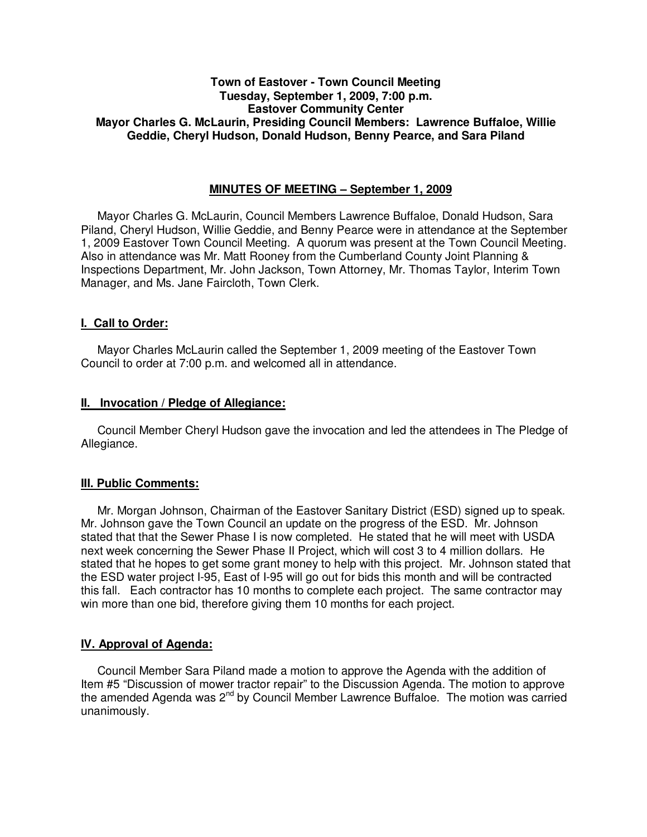# **Town of Eastover - Town Council Meeting Tuesday, September 1, 2009, 7:00 p.m. Eastover Community Center Mayor Charles G. McLaurin, Presiding Council Members: Lawrence Buffaloe, Willie Geddie, Cheryl Hudson, Donald Hudson, Benny Pearce, and Sara Piland**

### **MINUTES OF MEETING – September 1, 2009**

Mayor Charles G. McLaurin, Council Members Lawrence Buffaloe, Donald Hudson, Sara Piland, Cheryl Hudson, Willie Geddie, and Benny Pearce were in attendance at the September 1, 2009 Eastover Town Council Meeting. A quorum was present at the Town Council Meeting. Also in attendance was Mr. Matt Rooney from the Cumberland County Joint Planning & Inspections Department, Mr. John Jackson, Town Attorney, Mr. Thomas Taylor, Interim Town Manager, and Ms. Jane Faircloth, Town Clerk.

### **I. Call to Order:**

Mayor Charles McLaurin called the September 1, 2009 meeting of the Eastover Town Council to order at 7:00 p.m. and welcomed all in attendance.

### **II. Invocation / Pledge of Allegiance:**

 Council Member Cheryl Hudson gave the invocation and led the attendees in The Pledge of Allegiance.

### **III. Public Comments:**

 Mr. Morgan Johnson, Chairman of the Eastover Sanitary District (ESD) signed up to speak. Mr. Johnson gave the Town Council an update on the progress of the ESD. Mr. Johnson stated that that the Sewer Phase I is now completed. He stated that he will meet with USDA next week concerning the Sewer Phase II Project, which will cost 3 to 4 million dollars. He stated that he hopes to get some grant money to help with this project. Mr. Johnson stated that the ESD water project I-95, East of I-95 will go out for bids this month and will be contracted this fall. Each contractor has 10 months to complete each project. The same contractor may win more than one bid, therefore giving them 10 months for each project.

### **IV. Approval of Agenda:**

 Council Member Sara Piland made a motion to approve the Agenda with the addition of Item #5 "Discussion of mower tractor repair" to the Discussion Agenda. The motion to approve the amended Agenda was  $2^{nd}$  by Council Member Lawrence Buffaloe. The motion was carried unanimously.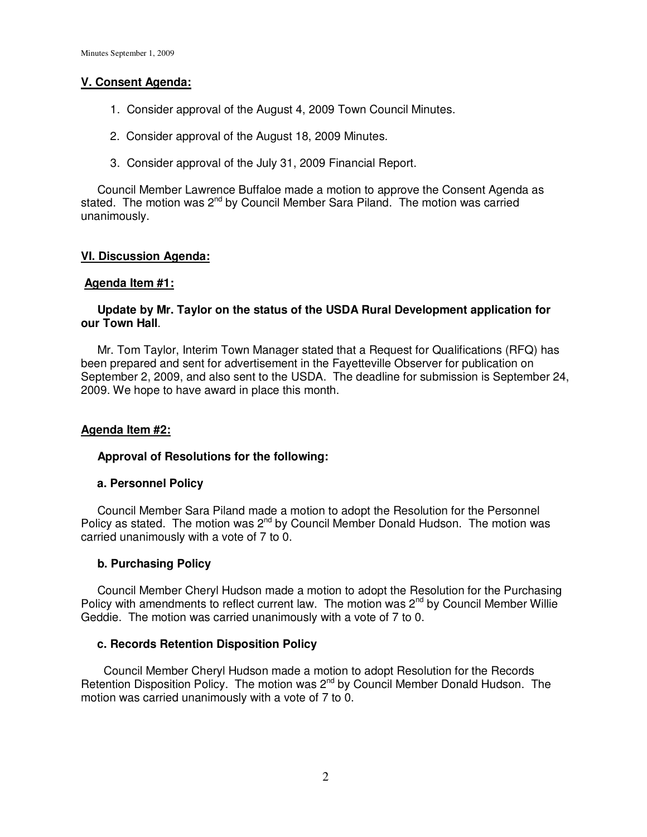# **V. Consent Agenda:**

- 1. Consider approval of the August 4, 2009 Town Council Minutes.
- 2. Consider approval of the August 18, 2009 Minutes.
- 3. Consider approval of the July 31, 2009 Financial Report.

 Council Member Lawrence Buffaloe made a motion to approve the Consent Agenda as stated. The motion was 2<sup>nd</sup> by Council Member Sara Piland. The motion was carried unanimously.

# **VI. Discussion Agenda:**

# **Agenda Item #1:**

# **Update by Mr. Taylor on the status of the USDA Rural Development application for our Town Hall**.

 Mr. Tom Taylor, Interim Town Manager stated that a Request for Qualifications (RFQ) has been prepared and sent for advertisement in the Fayetteville Observer for publication on September 2, 2009, and also sent to the USDA. The deadline for submission is September 24, 2009. We hope to have award in place this month.

# **Agenda Item #2:**

### **Approval of Resolutions for the following:**

### **a. Personnel Policy**

 Council Member Sara Piland made a motion to adopt the Resolution for the Personnel Policy as stated. The motion was  $2^{nd}$  by Council Member Donald Hudson. The motion was carried unanimously with a vote of 7 to 0.

### **b. Purchasing Policy**

Council Member Cheryl Hudson made a motion to adopt the Resolution for the Purchasing Policy with amendments to reflect current law. The motion was  $2<sup>nd</sup>$  by Council Member Willie Geddie. The motion was carried unanimously with a vote of 7 to 0.

### **c. Records Retention Disposition Policy**

Council Member Cheryl Hudson made a motion to adopt Resolution for the Records Retention Disposition Policy. The motion was  $2^{nd}$  by Council Member Donald Hudson. The motion was carried unanimously with a vote of 7 to 0.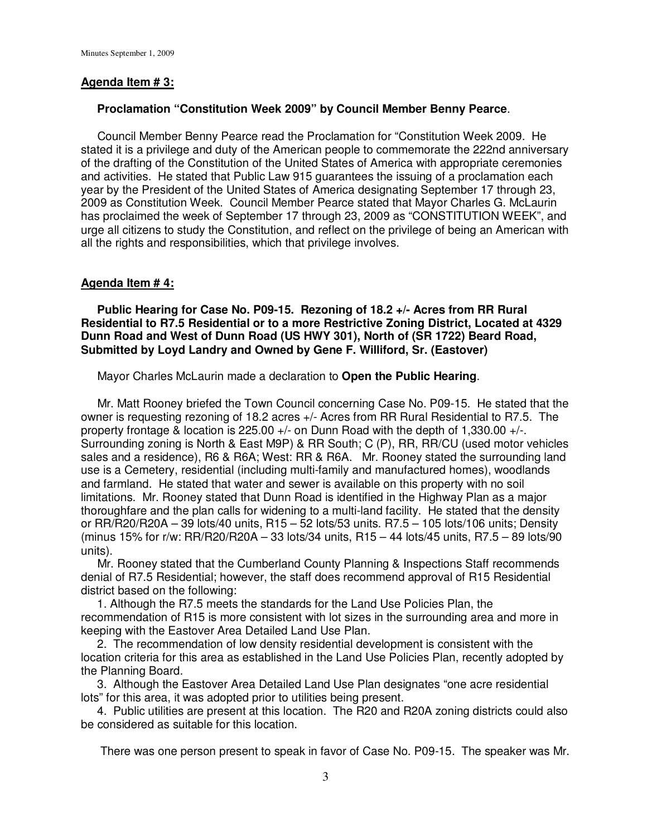#### **Agenda Item # 3:**

#### **Proclamation "Constitution Week 2009" by Council Member Benny Pearce**.

 Council Member Benny Pearce read the Proclamation for "Constitution Week 2009. He stated it is a privilege and duty of the American people to commemorate the 222nd anniversary of the drafting of the Constitution of the United States of America with appropriate ceremonies and activities. He stated that Public Law 915 guarantees the issuing of a proclamation each year by the President of the United States of America designating September 17 through 23, 2009 as Constitution Week. Council Member Pearce stated that Mayor Charles G. McLaurin has proclaimed the week of September 17 through 23, 2009 as "CONSTITUTION WEEK", and urge all citizens to study the Constitution, and reflect on the privilege of being an American with all the rights and responsibilities, which that privilege involves.

#### **Agenda Item # 4:**

 **Public Hearing for Case No. P09-15. Rezoning of 18.2 +/- Acres from RR Rural Residential to R7.5 Residential or to a more Restrictive Zoning District, Located at 4329 Dunn Road and West of Dunn Road (US HWY 301), North of (SR 1722) Beard Road, Submitted by Loyd Landry and Owned by Gene F. Williford, Sr. (Eastover)** 

Mayor Charles McLaurin made a declaration to **Open the Public Hearing**.

 Mr. Matt Rooney briefed the Town Council concerning Case No. P09-15. He stated that the owner is requesting rezoning of 18.2 acres +/- Acres from RR Rural Residential to R7.5. The property frontage & location is 225.00 +/- on Dunn Road with the depth of 1,330.00 +/-. Surrounding zoning is North & East M9P) & RR South; C (P), RR, RR/CU (used motor vehicles sales and a residence), R6 & R6A; West: RR & R6A. Mr. Rooney stated the surrounding land use is a Cemetery, residential (including multi-family and manufactured homes), woodlands and farmland. He stated that water and sewer is available on this property with no soil limitations. Mr. Rooney stated that Dunn Road is identified in the Highway Plan as a major thoroughfare and the plan calls for widening to a multi-land facility. He stated that the density or RR/R20/R20A – 39 lots/40 units, R15 – 52 lots/53 units. R7.5 – 105 lots/106 units; Density (minus 15% for r/w: RR/R20/R20A – 33 lots/34 units, R15 – 44 lots/45 units, R7.5 – 89 lots/90 units).

 Mr. Rooney stated that the Cumberland County Planning & Inspections Staff recommends denial of R7.5 Residential; however, the staff does recommend approval of R15 Residential district based on the following:

 1. Although the R7.5 meets the standards for the Land Use Policies Plan, the recommendation of R15 is more consistent with lot sizes in the surrounding area and more in keeping with the Eastover Area Detailed Land Use Plan.

 2. The recommendation of low density residential development is consistent with the location criteria for this area as established in the Land Use Policies Plan, recently adopted by the Planning Board.

 3. Although the Eastover Area Detailed Land Use Plan designates "one acre residential lots" for this area, it was adopted prior to utilities being present.

 4. Public utilities are present at this location. The R20 and R20A zoning districts could also be considered as suitable for this location.

There was one person present to speak in favor of Case No. P09-15. The speaker was Mr.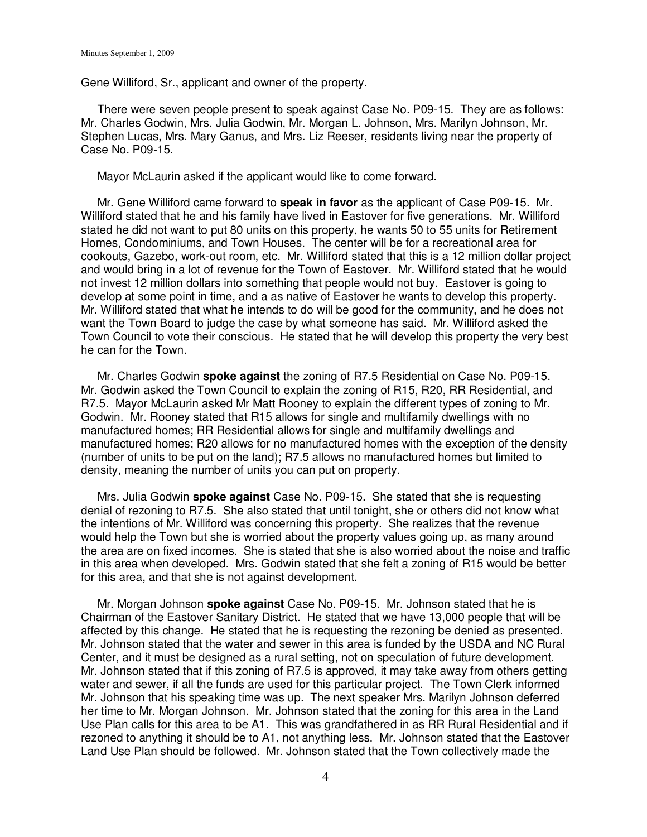Gene Williford, Sr., applicant and owner of the property.

 There were seven people present to speak against Case No. P09-15. They are as follows: Mr. Charles Godwin, Mrs. Julia Godwin, Mr. Morgan L. Johnson, Mrs. Marilyn Johnson, Mr. Stephen Lucas, Mrs. Mary Ganus, and Mrs. Liz Reeser, residents living near the property of Case No. P09-15.

Mayor McLaurin asked if the applicant would like to come forward.

 Mr. Gene Williford came forward to **speak in favor** as the applicant of Case P09-15. Mr. Williford stated that he and his family have lived in Eastover for five generations. Mr. Williford stated he did not want to put 80 units on this property, he wants 50 to 55 units for Retirement Homes, Condominiums, and Town Houses. The center will be for a recreational area for cookouts, Gazebo, work-out room, etc. Mr. Williford stated that this is a 12 million dollar project and would bring in a lot of revenue for the Town of Eastover. Mr. Williford stated that he would not invest 12 million dollars into something that people would not buy. Eastover is going to develop at some point in time, and a as native of Eastover he wants to develop this property. Mr. Williford stated that what he intends to do will be good for the community, and he does not want the Town Board to judge the case by what someone has said. Mr. Williford asked the Town Council to vote their conscious. He stated that he will develop this property the very best he can for the Town.

 Mr. Charles Godwin **spoke against** the zoning of R7.5 Residential on Case No. P09-15. Mr. Godwin asked the Town Council to explain the zoning of R15, R20, RR Residential, and R7.5. Mayor McLaurin asked Mr Matt Rooney to explain the different types of zoning to Mr. Godwin. Mr. Rooney stated that R15 allows for single and multifamily dwellings with no manufactured homes; RR Residential allows for single and multifamily dwellings and manufactured homes; R20 allows for no manufactured homes with the exception of the density (number of units to be put on the land); R7.5 allows no manufactured homes but limited to density, meaning the number of units you can put on property.

 Mrs. Julia Godwin **spoke against** Case No. P09-15. She stated that she is requesting denial of rezoning to R7.5. She also stated that until tonight, she or others did not know what the intentions of Mr. Williford was concerning this property. She realizes that the revenue would help the Town but she is worried about the property values going up, as many around the area are on fixed incomes. She is stated that she is also worried about the noise and traffic in this area when developed. Mrs. Godwin stated that she felt a zoning of R15 would be better for this area, and that she is not against development.

 Mr. Morgan Johnson **spoke against** Case No. P09-15. Mr. Johnson stated that he is Chairman of the Eastover Sanitary District. He stated that we have 13,000 people that will be affected by this change. He stated that he is requesting the rezoning be denied as presented. Mr. Johnson stated that the water and sewer in this area is funded by the USDA and NC Rural Center, and it must be designed as a rural setting, not on speculation of future development. Mr. Johnson stated that if this zoning of R7.5 is approved, it may take away from others getting water and sewer, if all the funds are used for this particular project. The Town Clerk informed Mr. Johnson that his speaking time was up. The next speaker Mrs. Marilyn Johnson deferred her time to Mr. Morgan Johnson. Mr. Johnson stated that the zoning for this area in the Land Use Plan calls for this area to be A1. This was grandfathered in as RR Rural Residential and if rezoned to anything it should be to A1, not anything less. Mr. Johnson stated that the Eastover Land Use Plan should be followed. Mr. Johnson stated that the Town collectively made the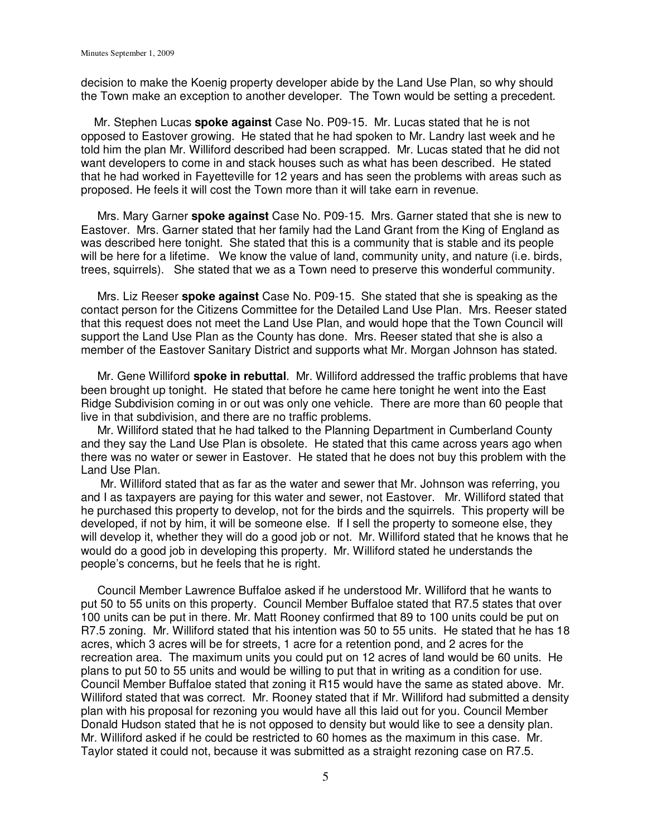decision to make the Koenig property developer abide by the Land Use Plan, so why should the Town make an exception to another developer. The Town would be setting a precedent.

 Mr. Stephen Lucas **spoke against** Case No. P09-15. Mr. Lucas stated that he is not opposed to Eastover growing. He stated that he had spoken to Mr. Landry last week and he told him the plan Mr. Williford described had been scrapped. Mr. Lucas stated that he did not want developers to come in and stack houses such as what has been described. He stated that he had worked in Fayetteville for 12 years and has seen the problems with areas such as proposed. He feels it will cost the Town more than it will take earn in revenue.

 Mrs. Mary Garner **spoke against** Case No. P09-15. Mrs. Garner stated that she is new to Eastover. Mrs. Garner stated that her family had the Land Grant from the King of England as was described here tonight. She stated that this is a community that is stable and its people will be here for a lifetime. We know the value of land, community unity, and nature (i.e. birds, trees, squirrels). She stated that we as a Town need to preserve this wonderful community.

 Mrs. Liz Reeser **spoke against** Case No. P09-15. She stated that she is speaking as the contact person for the Citizens Committee for the Detailed Land Use Plan. Mrs. Reeser stated that this request does not meet the Land Use Plan, and would hope that the Town Council will support the Land Use Plan as the County has done. Mrs. Reeser stated that she is also a member of the Eastover Sanitary District and supports what Mr. Morgan Johnson has stated.

 Mr. Gene Williford **spoke in rebuttal**. Mr. Williford addressed the traffic problems that have been brought up tonight. He stated that before he came here tonight he went into the East Ridge Subdivision coming in or out was only one vehicle. There are more than 60 people that live in that subdivision, and there are no traffic problems.

 Mr. Williford stated that he had talked to the Planning Department in Cumberland County and they say the Land Use Plan is obsolete. He stated that this came across years ago when there was no water or sewer in Eastover. He stated that he does not buy this problem with the Land Use Plan.

 Mr. Williford stated that as far as the water and sewer that Mr. Johnson was referring, you and I as taxpayers are paying for this water and sewer, not Eastover. Mr. Williford stated that he purchased this property to develop, not for the birds and the squirrels. This property will be developed, if not by him, it will be someone else. If I sell the property to someone else, they will develop it, whether they will do a good job or not. Mr. Williford stated that he knows that he would do a good job in developing this property. Mr. Williford stated he understands the people's concerns, but he feels that he is right.

 Council Member Lawrence Buffaloe asked if he understood Mr. Williford that he wants to put 50 to 55 units on this property. Council Member Buffaloe stated that R7.5 states that over 100 units can be put in there. Mr. Matt Rooney confirmed that 89 to 100 units could be put on R7.5 zoning. Mr. Williford stated that his intention was 50 to 55 units. He stated that he has 18 acres, which 3 acres will be for streets, 1 acre for a retention pond, and 2 acres for the recreation area. The maximum units you could put on 12 acres of land would be 60 units. He plans to put 50 to 55 units and would be willing to put that in writing as a condition for use. Council Member Buffaloe stated that zoning it R15 would have the same as stated above. Mr. Williford stated that was correct. Mr. Rooney stated that if Mr. Williford had submitted a density plan with his proposal for rezoning you would have all this laid out for you. Council Member Donald Hudson stated that he is not opposed to density but would like to see a density plan. Mr. Williford asked if he could be restricted to 60 homes as the maximum in this case. Mr. Taylor stated it could not, because it was submitted as a straight rezoning case on R7.5.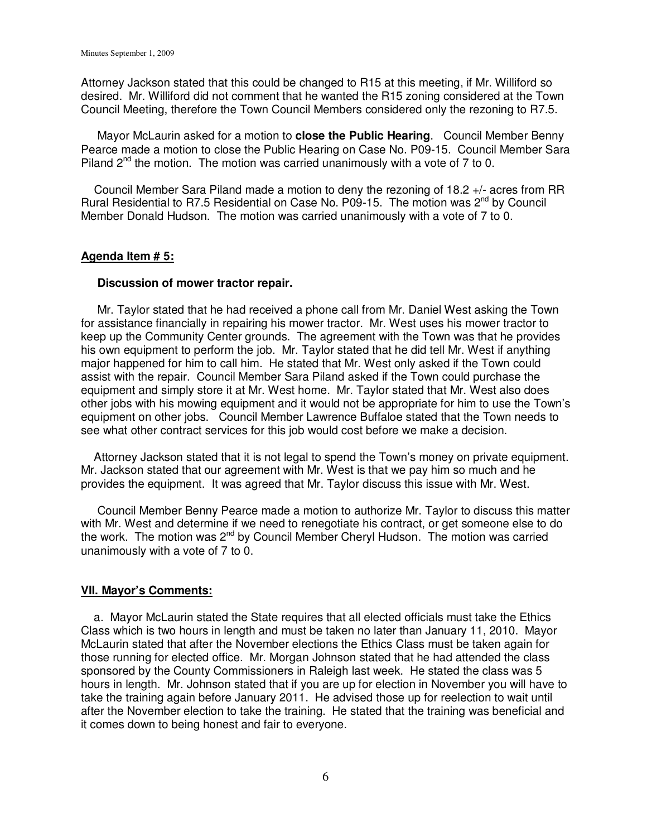Attorney Jackson stated that this could be changed to R15 at this meeting, if Mr. Williford so desired. Mr. Williford did not comment that he wanted the R15 zoning considered at the Town Council Meeting, therefore the Town Council Members considered only the rezoning to R7.5.

 Mayor McLaurin asked for a motion to **close the Public Hearing**. Council Member Benny Pearce made a motion to close the Public Hearing on Case No. P09-15. Council Member Sara Piland  $2<sup>nd</sup>$  the motion. The motion was carried unanimously with a vote of 7 to 0.

 Council Member Sara Piland made a motion to deny the rezoning of 18.2 +/- acres from RR Rural Residential to R7.5 Residential on Case No. P09-15. The motion was 2<sup>nd</sup> by Council Member Donald Hudson. The motion was carried unanimously with a vote of 7 to 0.

#### **Agenda Item # 5:**

#### **Discussion of mower tractor repair.**

Mr. Taylor stated that he had received a phone call from Mr. Daniel West asking the Town for assistance financially in repairing his mower tractor. Mr. West uses his mower tractor to keep up the Community Center grounds. The agreement with the Town was that he provides his own equipment to perform the job. Mr. Taylor stated that he did tell Mr. West if anything major happened for him to call him. He stated that Mr. West only asked if the Town could assist with the repair. Council Member Sara Piland asked if the Town could purchase the equipment and simply store it at Mr. West home. Mr. Taylor stated that Mr. West also does other jobs with his mowing equipment and it would not be appropriate for him to use the Town's equipment on other jobs. Council Member Lawrence Buffaloe stated that the Town needs to see what other contract services for this job would cost before we make a decision.

 Attorney Jackson stated that it is not legal to spend the Town's money on private equipment. Mr. Jackson stated that our agreement with Mr. West is that we pay him so much and he provides the equipment. It was agreed that Mr. Taylor discuss this issue with Mr. West.

 Council Member Benny Pearce made a motion to authorize Mr. Taylor to discuss this matter with Mr. West and determine if we need to renegotiate his contract, or get someone else to do the work. The motion was  $2^{nd}$  by Council Member Cheryl Hudson. The motion was carried unanimously with a vote of 7 to 0.

#### **VII. Mayor's Comments:**

 a. Mayor McLaurin stated the State requires that all elected officials must take the Ethics Class which is two hours in length and must be taken no later than January 11, 2010. Mayor McLaurin stated that after the November elections the Ethics Class must be taken again for those running for elected office. Mr. Morgan Johnson stated that he had attended the class sponsored by the County Commissioners in Raleigh last week. He stated the class was 5 hours in length. Mr. Johnson stated that if you are up for election in November you will have to take the training again before January 2011. He advised those up for reelection to wait until after the November election to take the training. He stated that the training was beneficial and it comes down to being honest and fair to everyone.